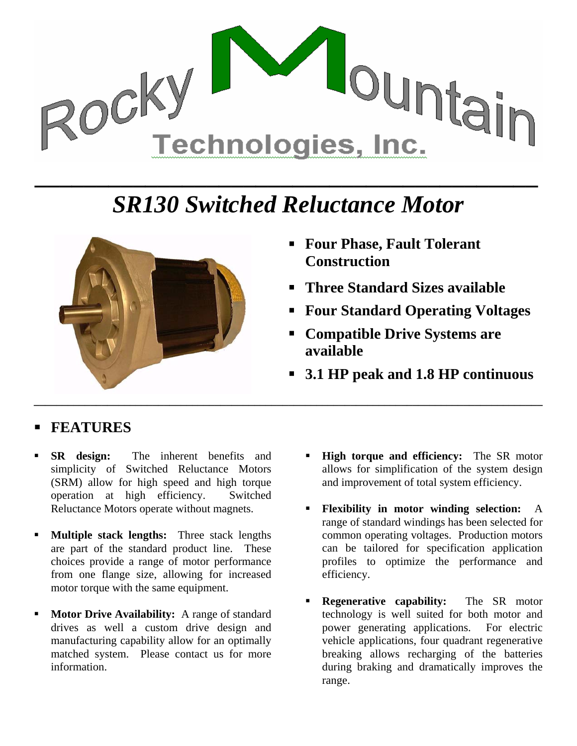

## *SR130 Switched Reluctance Motor*



- **Four Phase, Fault Tolerant Construction**
- **Three Standard Sizes available**
- **Four Standard Operating Voltages**
- **Compatible Drive Systems are available**
- **3.1 HP peak and 1.8 HP continuous**

## **FEATURES**

- **SR design:** The inherent benefits and simplicity of Switched Reluctance Motors (SRM) allow for high speed and high torque operation at high efficiency. Switched Reluctance Motors operate without magnets.
- **Multiple stack lengths:** Three stack lengths are part of the standard product line. These choices provide a range of motor performance from one flange size, allowing for increased motor torque with the same equipment.
- **Motor Drive Availability:** A range of standard drives as well a custom drive design and manufacturing capability allow for an optimally matched system. Please contact us for more information.
- **High torque and efficiency:** The SR motor allows for simplification of the system design and improvement of total system efficiency.
- **Flexibility in motor winding selection:** A range of standard windings has been selected for common operating voltages. Production motors can be tailored for specification application profiles to optimize the performance and efficiency.
- **Regenerative capability:** The SR motor technology is well suited for both motor and power generating applications. For electric vehicle applications, four quadrant regenerative breaking allows recharging of the batteries during braking and dramatically improves the range.